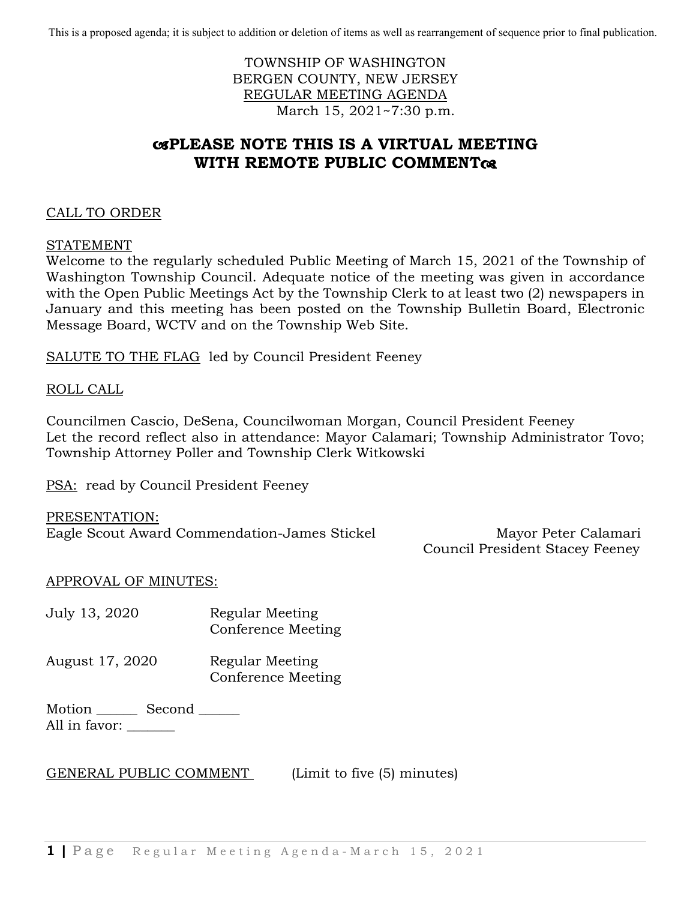This is a proposed agenda; it is subject to addition or deletion of items as well as rearrangement of sequence prior to final publication.

# TOWNSHIP OF WASHINGTON BERGEN COUNTY, NEW JERSEY REGULAR MEETING AGENDA March 15, 2021~7:30 p.m.

# **PLEASE NOTE THIS IS A VIRTUAL MEETING WITH REMOTE PUBLIC COMMENT**

# CALL TO ORDER

STATEMENT

Welcome to the regularly scheduled Public Meeting of March 15, 2021 of the Township of Washington Township Council. Adequate notice of the meeting was given in accordance with the Open Public Meetings Act by the Township Clerk to at least two (2) newspapers in January and this meeting has been posted on the Township Bulletin Board, Electronic Message Board, WCTV and on the Township Web Site.

SALUTE TO THE FLAG led by Council President Feeney

#### ROLL CALL

Councilmen Cascio, DeSena, Councilwoman Morgan, Council President Feeney Let the record reflect also in attendance: Mayor Calamari; Township Administrator Tovo; Township Attorney Poller and Township Clerk Witkowski

PSA: read by Council President Feeney

PRESENTATION: Eagle Scout Award Commendation-James Stickel Mayor Peter Calamari

Council President Stacey Feeney

# APPROVAL OF MINUTES:

- July 13, 2020 Regular Meeting Conference Meeting
- August 17, 2020 Regular Meeting Conference Meeting

Motion \_\_\_\_\_\_\_\_\_ Second \_\_\_\_\_\_\_ All in favor:

# GENERAL PUBLIC COMMENT (Limit to five (5) minutes)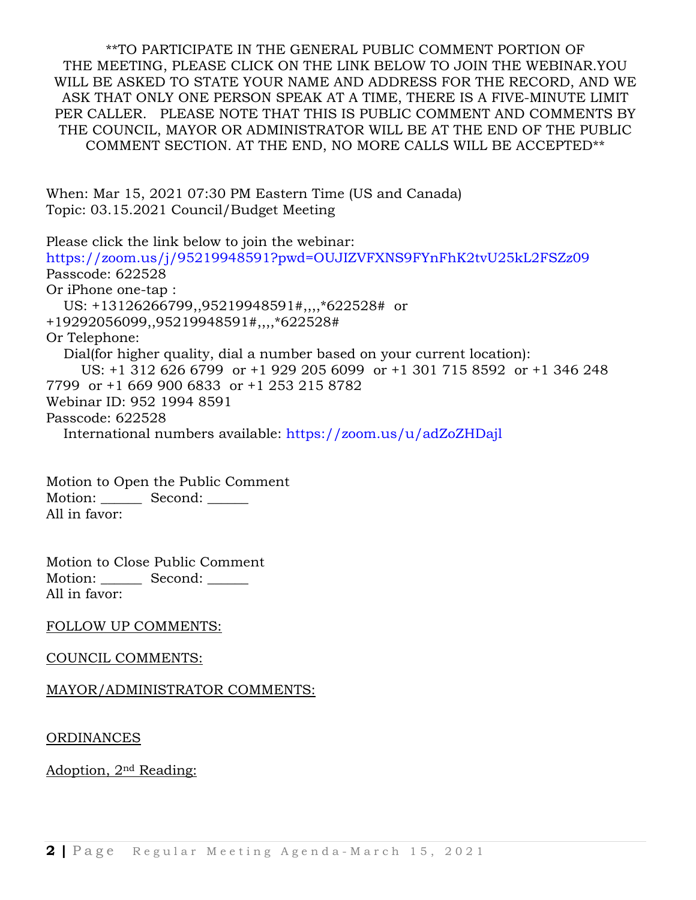\*\*TO PARTICIPATE IN THE GENERAL PUBLIC COMMENT PORTION OF THE MEETING, PLEASE CLICK ON THE LINK BELOW TO JOIN THE WEBINAR.YOU WILL BE ASKED TO STATE YOUR NAME AND ADDRESS FOR THE RECORD, AND WE ASK THAT ONLY ONE PERSON SPEAK AT A TIME, THERE IS A FIVE-MINUTE LIMIT PER CALLER. PLEASE NOTE THAT THIS IS PUBLIC COMMENT AND COMMENTS BY THE COUNCIL, MAYOR OR ADMINISTRATOR WILL BE AT THE END OF THE PUBLIC COMMENT SECTION. AT THE END, NO MORE CALLS WILL BE ACCEPTED\*\*

When: Mar 15, 2021 07:30 PM Eastern Time (US and Canada) Topic: 03.15.2021 Council/Budget Meeting

Please click the link below to join the webinar: <https://zoom.us/j/95219948591?pwd=OUJIZVFXNS9FYnFhK2tvU25kL2FSZz09> Passcode: 622528 Or iPhone one-tap : US: +13126266799,,95219948591#,,,,\*622528# or +19292056099,,95219948591#,,,,\*622528# Or Telephone: Dial(for higher quality, dial a number based on your current location): US: +1 312 626 6799 or +1 929 205 6099 or +1 301 715 8592 or +1 346 248 7799 or +1 669 900 6833 or +1 253 215 8782 Webinar ID: 952 1994 8591 Passcode: 622528 International numbers available:<https://zoom.us/u/adZoZHDajl>

Motion to Open the Public Comment Motion: \_\_\_\_\_\_\_\_ Second: \_\_\_\_\_\_ All in favor:

Motion to Close Public Comment Motion: \_\_\_\_\_\_\_\_ Second: \_\_\_\_\_\_ All in favor:

# FOLLOW UP COMMENTS:

# COUNCIL COMMENTS:

# MAYOR/ADMINISTRATOR COMMENTS:

ORDINANCES

Adoption, 2nd Reading: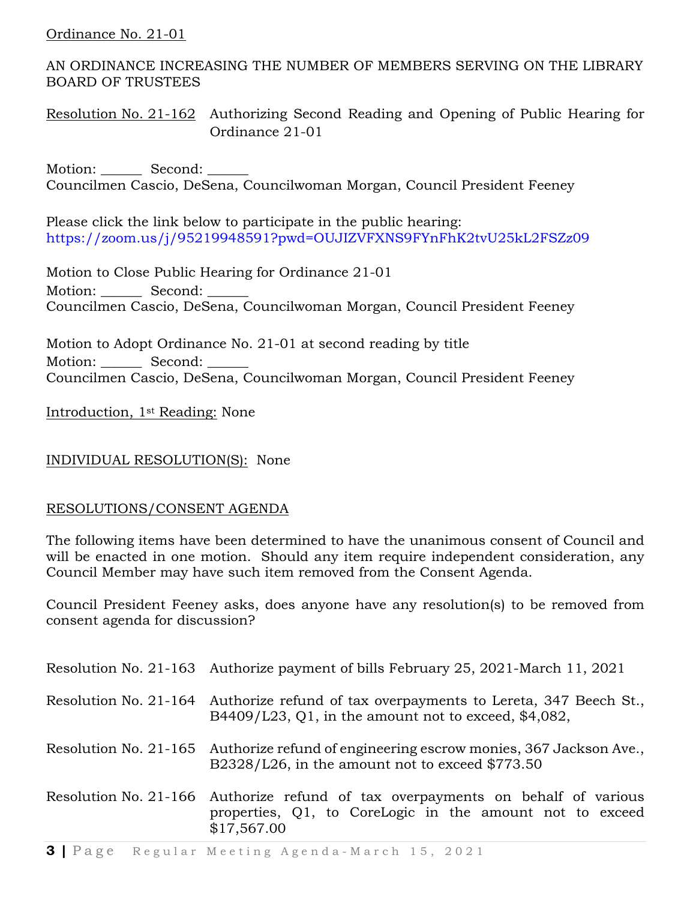# Ordinance No. 21-01

AN ORDINANCE INCREASING THE NUMBER OF MEMBERS SERVING ON THE LIBRARY BOARD OF TRUSTEES

Resolution No. 21-162 Authorizing Second Reading and Opening of Public Hearing for Ordinance 21-01

Motion: Second: Councilmen Cascio, DeSena, Councilwoman Morgan, Council President Feeney

Please click the link below to participate in the public hearing: <https://zoom.us/j/95219948591?pwd=OUJIZVFXNS9FYnFhK2tvU25kL2FSZz09>

Motion to Close Public Hearing for Ordinance 21-01 Motion: Second: Councilmen Cascio, DeSena, Councilwoman Morgan, Council President Feeney

Motion to Adopt Ordinance No. 21-01 at second reading by title Motion: Second: Councilmen Cascio, DeSena, Councilwoman Morgan, Council President Feeney

Introduction, 1st Reading: None

# INDIVIDUAL RESOLUTION(S): None

# RESOLUTIONS/CONSENT AGENDA

The following items have been determined to have the unanimous consent of Council and will be enacted in one motion. Should any item require independent consideration, any Council Member may have such item removed from the Consent Agenda.

Council President Feeney asks, does anyone have any resolution(s) to be removed from consent agenda for discussion?

| Resolution No. 21-163 Authorize payment of bills February 25, 2021-March 11, 2021                                                                          |
|------------------------------------------------------------------------------------------------------------------------------------------------------------|
| Resolution No. 21-164 Authorize refund of tax overpayments to Lereta, 347 Beech St.,<br>B4409/L23, Q1, in the amount not to exceed, $$4,082$ ,             |
| Resolution No. 21-165 Authorize refund of engineering escrow monies, 367 Jackson Ave.,<br>B2328/L26, in the amount not to exceed \$773.50                  |
| Resolution No. 21-166 Authorize refund of tax overpayments on behalf of various<br>properties, Q1, to CoreLogic in the amount not to exceed<br>\$17,567.00 |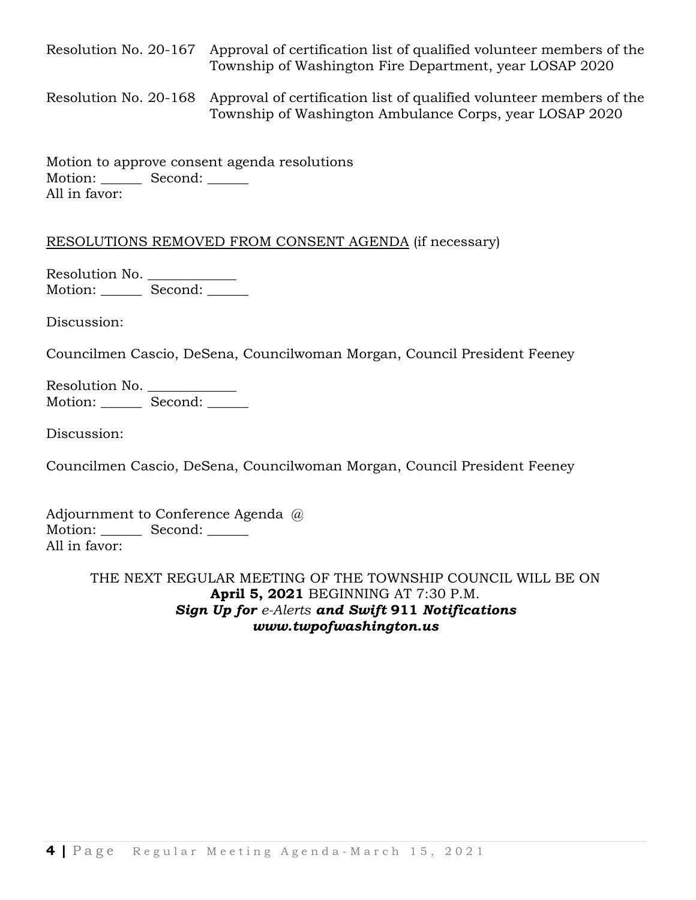Resolution No. 20-167 Approval of certification list of qualified volunteer members of the Township of Washington Fire Department, year LOSAP 2020

Resolution No. 20-168 Approval of certification list of qualified volunteer members of the Township of Washington Ambulance Corps, year LOSAP 2020

Motion to approve consent agenda resolutions Motion: Second: \_\_\_\_\_\_ All in favor:

# RESOLUTIONS REMOVED FROM CONSENT AGENDA (if necessary)

Resolution No. \_\_\_\_\_\_\_\_\_\_\_\_\_\_\_ Motion: Second: \_\_\_\_\_\_

Discussion:

Councilmen Cascio, DeSena, Councilwoman Morgan, Council President Feeney

Resolution No. Motion: \_\_\_\_\_\_\_ Second: \_\_\_\_\_\_

Discussion:

Councilmen Cascio, DeSena, Councilwoman Morgan, Council President Feeney

Adjournment to Conference Agenda @ Motion: Second: All in favor:

> THE NEXT REGULAR MEETING OF THE TOWNSHIP COUNCIL WILL BE ON **April 5, 2021** BEGINNING AT 7:30 P.M. *Sign Up for [e-Alerts](http://www.twpofwashington.us/site/cpage.asp?cpage_id=180016957&sec_id=180006394) and Swift* **911** *Notifications www.twpofwashington.us*